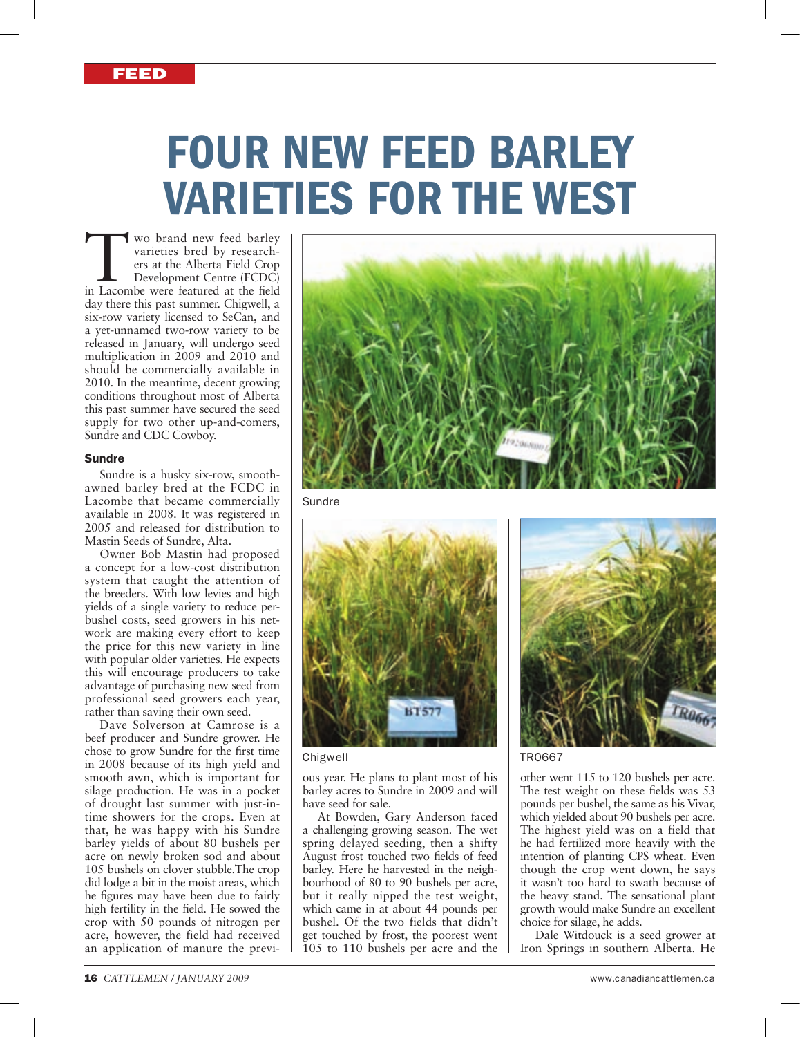# FOUR NEW FEED BARLEY VARIETIES FOR THE WEST

Wo brand new feed barley<br>
varieties bred by research-<br>
ers at the Alberta Field Crop<br>
Development Centre (FCDC)<br>
in Lacombe were featured at the field varieties bred by researchers at the Alberta Field Crop Development Centre (FCDC) day there this past summer. Chigwell, a six-row variety licensed to SeCan, and a yet-unnamed two-row variety to be released in January, will undergo seed multiplication in 2009 and 2010 and should be commercially available in 2010. In the meantime, decent growing conditions throughout most of Alberta this past summer have secured the seed supply for two other up-and-comers, Sundre and CDC Cowboy.

## Sundre

Sundre is a husky six-row, smoothawned barley bred at the FCDC in Lacombe that became commercially available in 2008. It was registered in 2005 and released for distribution to Mastin Seeds of Sundre, Alta.

Owner Bob Mastin had proposed a concept for a low-cost distribution system that caught the attention of the breeders. With low levies and high yields of a single variety to reduce perbushel costs, seed growers in his network are making every effort to keep the price for this new variety in line with popular older varieties. He expects this will encourage producers to take advantage of purchasing new seed from professional seed growers each year, rather than saving their own seed.

Dave Solverson at Camrose is a beef producer and Sundre grower. He chose to grow Sundre for the first time in 2008 because of its high yield and smooth awn, which is important for silage production. He was in a pocket of drought last summer with just-intime showers for the crops. Even at that, he was happy with his Sundre barley yields of about 80 bushels per acre on newly broken sod and about 105 bushels on clover stubble.The crop did lodge a bit in the moist areas, which he figures may have been due to fairly high fertility in the field. He sowed the crop with 50 pounds of nitrogen per acre, however, the field had received an application of manure the previ-



Sundre



Chigwell TR0667

ous year. He plans to plant most of his barley acres to Sundre in 2009 and will have seed for sale.

At Bowden, Gary Anderson faced a challenging growing season. The wet spring delayed seeding, then a shifty August frost touched two fields of feed barley. Here he harvested in the neighbourhood of 80 to 90 bushels per acre, but it really nipped the test weight, which came in at about 44 pounds per bushel. Of the two fields that didn't get touched by frost, the poorest went 105 to 110 bushels per acre and the



other went 115 to 120 bushels per acre. The test weight on these fields was 53 pounds per bushel, the same as his Vivar, which yielded about 90 bushels per acre. The highest yield was on a field that he had fertilized more heavily with the intention of planting CPS wheat. Even though the crop went down, he says it wasn't too hard to swath because of the heavy stand. The sensational plant growth would make Sundre an excellent choice for silage, he adds.

Dale Witdouck is a seed grower at Iron Springs in southern Alberta. He